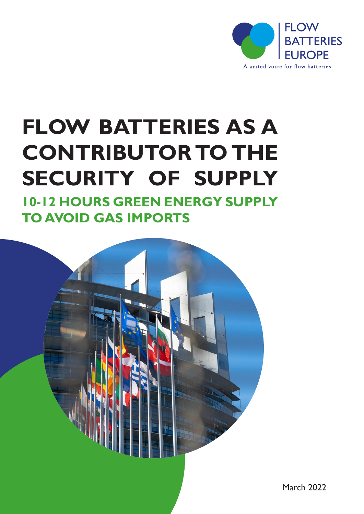

# **FLOW BATTERIES AS A CONTRIBUTOR TO THE SECURITY OF SUPPLY**

**10-12 HOURS GREEN ENERGY SUPPLY TO AVOID GAS IMPORTS**

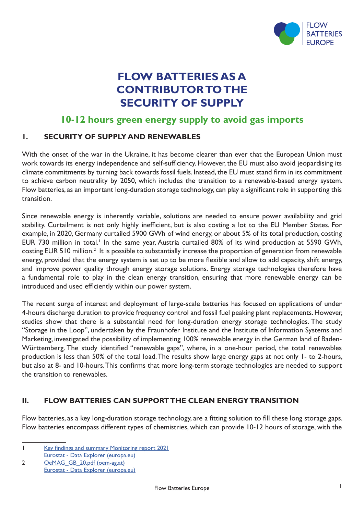

## **FLOW BATTERIES AS A CONTRIBUTOR TO THE SECURITY OF SUPPLY**

### **10-12 hours green energy supply to avoid gas imports**

#### **1. SECURITY OF SUPPLY AND RENEWABLES**

With the onset of the war in the Ukraine, it has become clearer than ever that the European Union must work towards its energy independence and self-sufficiency. However, the EU must also avoid jeopardising its climate commitments by turning back towards fossil fuels. Instead, the EU must stand firm in its commitment to achieve carbon neutrality by 2050, which includes the transition to a renewable-based energy system. Flow batteries, as an important long-duration storage technology, can play a significant role in supporting this transition.

Since renewable energy is inherently variable, solutions are needed to ensure power availability and grid stability. Curtailment is not only highly inefficient, but is also costing a lot to the EU Member States. For example, in 2020, Germany curtailed 5900 GWh of wind energy, or about 5% of its total production, costing EUR 730 million in total.<sup>1</sup> In the same year, Austria curtailed 80% of its wind production at 5590 GWh, costing EUR 510 million.<sup>2</sup> It is possible to substantially increase the proportion of generation from renewable energy, provided that the energy system is set up to be more flexible and allow to add capacity, shift energy, and improve power quality through energy storage solutions. Energy storage technologies therefore have a fundamental role to play in the clean energy transition, ensuring that more renewable energy can be introduced and used efficiently within our power system.

The recent surge of interest and deployment of large-scale batteries has focused on applications of under 4-hours discharge duration to provide frequency control and fossil fuel peaking plant replacements. However, studies show that there is a substantial need for long-duration energy storage technologies. The study "Storage in the Loop", undertaken by the Fraunhofer Institute and the Institute of Information Systems and Marketing, investigated the possibility of implementing 100% renewable energy in the German land of Baden-Württemberg. The study identified "renewable gaps", where, in a one-hour period, the total renewables production is less than 50% of the total load. The results show large energy gaps at not only 1- to 2-hours, but also at 8- and 10-hours. This confirms that more long-term storage technologies are needed to support the transition to renewables.

#### **II. FLOW BATTERIES CAN SUPPORT THE CLEAN ENERGY TRANSITION**

Flow batteries, as a key long-duration storage technology, are a fitting solution to fill these long storage gaps. Flow batteries encompass different types of chemistries, which can provide 10-12 hours of storage, with the

<sup>1</sup> [Key findings and summary Monitoring report 2021](https://www.bundesnetzagentur.de/SharedDocs/Downloads/EN/Areas/ElectricityGas/CollectionCompanySpecificData/Monitoring/KernaussagenEng_MB2021.pdf?__blob=publicationFile&v=2) [Eurostat - Data Explorer \(europa.eu\)](https://appsso.eurostat.ec.europa.eu/nui/show.do?dataset=nrg_ind_ured&lang=en)

<sup>2</sup> [OeMAG\\_GB\\_20.pdf \(oem-ag.at\)](https://www.oem-ag.at/fileadmin/user_upload/Dokumente/geschaeftsberichte/OeMAG_GB_20.pdf) [Eurostat - Data Explorer \(europa.eu\)](https://appsso.eurostat.ec.europa.eu/nui/show.do?dataset=nrg_ind_ured&lang=en)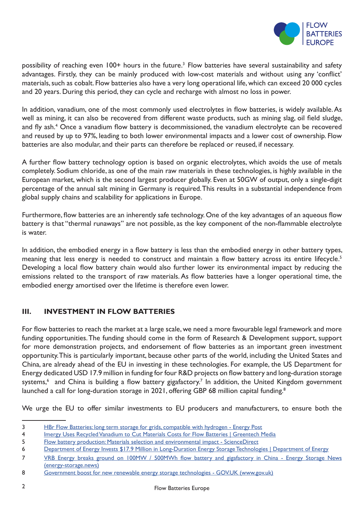

possibility of reaching even 100+ hours in the future.<sup>3</sup> Flow batteries have several sustainability and safety advantages. Firstly, they can be mainly produced with low-cost materials and without using any 'conflict' materials, such as cobalt. Flow batteries also have a very long operational life, which can exceed 20 000 cycles and 20 years. During this period, they can cycle and recharge with almost no loss in power.

In addition, vanadium, one of the most commonly used electrolytes in flow batteries, is widely available. As well as mining, it can also be recovered from different waste products, such as mining slag, oil field sludge, and fly ash.<sup>4</sup> Once a vanadium flow battery is decommissioned, the vanadium electrolyte can be recovered and reused by up to 97%, leading to both lower environmental impacts and a lower cost of ownership. Flow batteries are also modular, and their parts can therefore be replaced or reused, if necessary.

A further flow battery technology option is based on organic electrolytes, which avoids the use of metals completely. Sodium chloride, as one of the main raw materials in these technologies, is highly available in the European market, which is the second largest producer globally. Even at 50GW of output, only a single-digit percentage of the annual salt mining in Germany is required. This results in a substantial independence from global supply chains and scalability for applications in Europe.

Furthermore, flow batteries are an inherently safe technology. One of the key advantages of an aqueous flow battery is that "thermal runaways" are not possible, as the key component of the non-flammable electrolyte is water.

In addition, the embodied energy in a flow battery is less than the embodied energy in other battery types, meaning that less energy is needed to construct and maintain a flow battery across its entire lifecycle.<sup>5</sup> Developing a local flow battery chain would also further lower its environmental impact by reducing the emissions related to the transport of raw materials. As flow batteries have a longer operational time, the embodied energy amortised over the lifetime is therefore even lower.

#### **III. INVESTMENT IN FLOW BATTERIES**

For flow batteries to reach the market at a large scale, we need a more favourable legal framework and more funding opportunities. The funding should come in the form of Research & Development support, support for more demonstration projects, and endorsement of flow batteries as an important green investment opportunity. This is particularly important, because other parts of the world, including the United States and China, are already ahead of the EU in investing in these technologies. For example, the US Department for Energy dedicated USD 17.9 million in funding for four R&D projects on flow battery and long-duration storage systems,<sup>6</sup> and China is building a flow battery gigafactory.<sup>7</sup> In addition, the United Kingdom government launched a call for long-duration storage in 2021, offering GBP 68 million capital funding.<sup>8</sup>

We urge the EU to offer similar investments to EU producers and manufacturers, to ensure both the

<sup>3</sup> [HBr Flow Batteries: long term storage for grids, compatible with hydrogen - Energy Post](https://energypost.eu/hbr-flow-batteries-long-term-storage-for-grids-compatible-with-hydrogen/)

<sup>1</sup> [Imergy Uses Recycled Vanadium to Cut Materials Costs for Flow Batteries | Greentech Media](https://www.greentechmedia.com/articles/read/imergys-slag-to-energy-storage-vanadium-recipe)

<sup>5</sup> [Flow battery production: Materials selection and environmental impact - ScienceDirect](https://www.sciencedirect.com/science/article/abs/pii/S095965262031787X)

<sup>6</sup> [Department of Energy Invests \\$17.9 Million in Long-Duration Energy Storage Technologies | Department of Energy](https://www.energy.gov/eere/articles/department-energy-invests-179-million-long-duration-energy-storage-technologies#:~:text=Department%20of%20Energy%20Invests%20%2417.9%20Million%20in%20Long%2DDuration%20Energy%20Storage%20Technologies,-September%2023%2C%202021&text=The%20U.S.%20Department%20of%20Energy,and%20long%2Dduration%20storage%20systems.)

<sup>7</sup> [VRB Energy breaks ground on 100MW / 500MWh flow battery and gigafactory in China - Energy Storage News](https://www.energy-storage.news/vrb-energy-breaks-ground-on-100mw-500mwh-flow-battery-and-gigafactory-in-china/) [\(energy-storage.news\)](https://www.energy-storage.news/vrb-energy-breaks-ground-on-100mw-500mwh-flow-battery-and-gigafactory-in-china/)

<sup>8</sup> [Government boost for new renewable energy storage technologies - GOV.UK \(www.gov.uk\)](https://www.gov.uk/government/news/government-boost-for-new-renewable-energy-storage-technologies)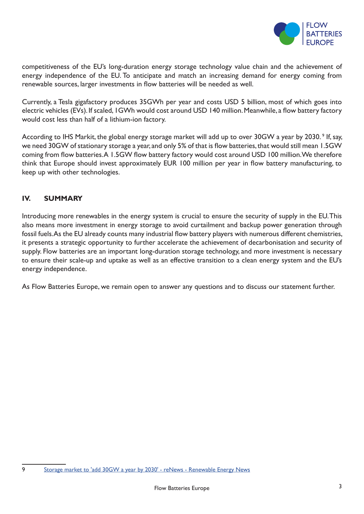

competitiveness of the EU's long-duration energy storage technology value chain and the achievement of energy independence of the EU. To anticipate and match an increasing demand for energy coming from renewable sources, larger investments in flow batteries will be needed as well.

Currently, a Tesla gigafactory produces 35GWh per year and costs USD 5 billion, most of which goes into electric vehicles (EVs). If scaled, 1GWh would cost around USD 140 million. Meanwhile, a flow battery factory would cost less than half of a lithium-ion factory.

According to IHS Markit, the global energy storage market will add up to over 30GW a year by 2030. <sup>9</sup> If, say, we need 30GW of stationary storage a year, and only 5% of that is flow batteries, that would still mean 1.5GW coming from flow batteries. A 1.5GW flow battery factory would cost around USD 100 million. We therefore think that Europe should invest approximately EUR 100 million per year in flow battery manufacturing, to keep up with other technologies.

#### **IV. SUMMARY**

Introducing more renewables in the energy system is crucial to ensure the security of supply in the EU. This also means more investment in energy storage to avoid curtailment and backup power generation through fossil fuels. As the EU already counts many industrial flow battery players with numerous different chemistries, it presents a strategic opportunity to further accelerate the achievement of decarbonisation and security of supply. Flow batteries are an important long-duration storage technology, and more investment is necessary to ensure their scale-up and uptake as well as an effective transition to a clean energy system and the EU's energy independence.

As Flow Batteries Europe, we remain open to answer any questions and to discuss our statement further.

<sup>9</sup> [Storage market to 'add 30GW a year by 2030' - reNews - Renewable Energy News](https://renews.biz/72674/storage-market-to-add-30gw-a-year-by-2030/)